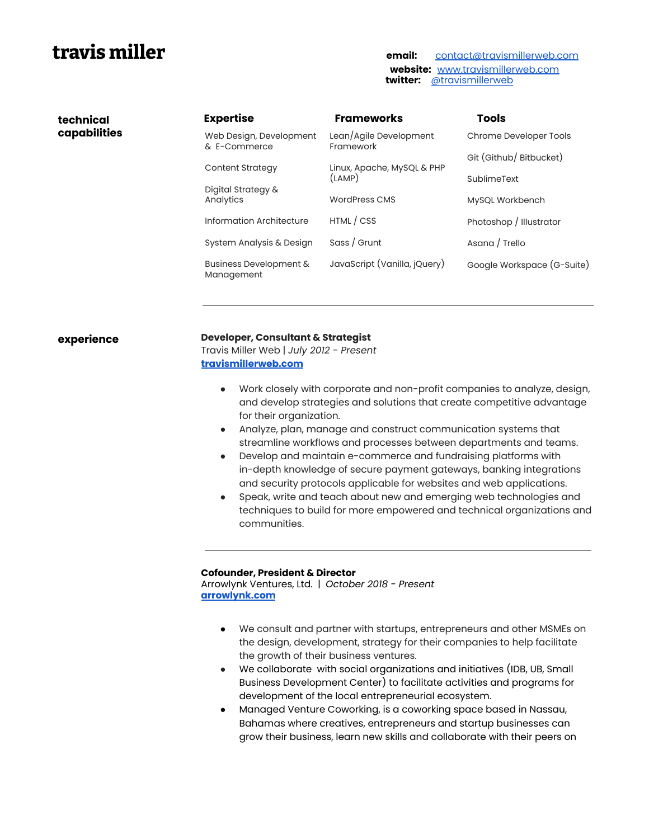## **travis miller email:** [contact@travismillerweb.com](mailto:contact@travismillerweb.com)

**technical capabilities**

**website:** [www.travismillerweb.com](http://www.travismillerweb.com) **twitter:** [@travismillerweb](https://twitter.com/travismillerweb)

|  | <b>Expertise</b>                        | <b>Frameworks</b>                    | <b>Tools</b>               |
|--|-----------------------------------------|--------------------------------------|----------------------------|
|  | Web Design, Development<br>& E-Commerce | Lean/Agile Development<br>Framework  | Chrome Developer Tools     |
|  |                                         |                                      | Git (Github/ Bitbucket)    |
|  | <b>Content Strategy</b>                 | Linux, Apache, MySQL & PHP<br>(LAMP) | SublimeText                |
|  | Digital Strategy &<br>Analytics         | <b>WordPress CMS</b>                 | MySQL Workbench            |
|  | Information Architecture                | HTML / CSS                           | Photoshop / Illustrator    |
|  | System Analysis & Design                | Sass / Grunt                         | Asana / Trello             |
|  | Business Development &<br>Management    | JavaScript (Vanilla, jQuery)         | Google Workspace (G-Suite) |
|  |                                         |                                      |                            |

### **experience Developer, Consultant & Strategist**

Travis Miller Web | *July 2012 - Present* **[travismillerweb.com](http://travismillerweb.com)**

- Work closely with corporate and non-profit companies to analyze, design, and develop strategies and solutions that create competitive advantage for their organization.
- Analyze, plan, manage and construct communication systems that streamline workflows and processes between departments and teams.
- Develop and maintain e-commerce and fundraising platforms with in-depth knowledge of secure payment gateways, banking integrations and security protocols applicable for websites and web applications.
- Speak, write and teach about new and emerging web technologies and techniques to build for more empowered and technical organizations and communities.

#### **Cofounder, President & Director**

Arrowlynk Ventures, Ltd. | *October 2018 - Present* **[arrowlynk.com](http://www.arrowlynk.com/)**

- We consult and partner with startups, entrepreneurs and other MSMEs on the design, development, strategy for their companies to help facilitate the growth of their business ventures.
- We collaborate with social organizations and initiatives (IDB, UB, Small Business Development Center) to facilitate activities and programs for development of the local entrepreneurial ecosystem.
- Managed Venture Coworking, is a coworking space based in Nassau, Bahamas where creatives, entrepreneurs and startup businesses can grow their business, learn new skills and collaborate with their peers on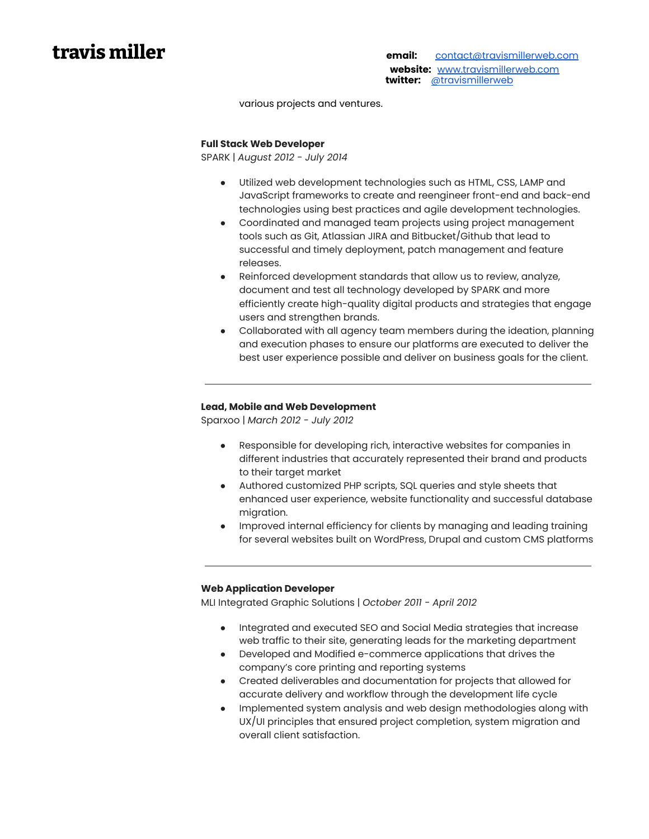**travis miller email:** [contact@travismillerweb.com](mailto:contact@travismillerweb.com) **website:** [www.travismillerweb.com](http://www.travismillerweb.com) **twitter:** [@travismillerweb](https://twitter.com/travismillerweb)

various projects and ventures.

#### **Full Stack Web Developer**

SPARK | *August 2012 - July 2014*

- Utilized web development technologies such as HTML, CSS, LAMP and JavaScript frameworks to create and reengineer front-end and back-end technologies using best practices and agile development technologies.
- Coordinated and managed team projects using project management tools such as Git, Atlassian JIRA and Bitbucket/Github that lead to successful and timely deployment, patch management and feature releases.
- Reinforced development standards that allow us to review, analyze, document and test all technology developed by SPARK and more efficiently create high-quality digital products and strategies that engage users and strengthen brands.
- Collaborated with all agency team members during the ideation, planning and execution phases to ensure our platforms are executed to deliver the best user experience possible and deliver on business goals for the client.

#### **Lead, Mobile and Web Development**

Sparxoo | *March 2012 - July 2012*

- Responsible for developing rich, interactive websites for companies in different industries that accurately represented their brand and products to their target market
- Authored customized PHP scripts, SQL queries and style sheets that enhanced user experience, website functionality and successful database migration.
- Improved internal efficiency for clients by managing and leading training for several websites built on WordPress, Drupal and custom CMS platforms

#### **Web Application Developer**

MLI Integrated Graphic Solutions | *October 2011 - April 2012*

- Integrated and executed SEO and Social Media strategies that increase web traffic to their site, generating leads for the marketing department
- Developed and Modified e-commerce applications that drives the company's core printing and reporting systems
- Created deliverables and documentation for projects that allowed for accurate delivery and workflow through the development life cycle
- Implemented system analysis and web design methodologies along with UX/UI principles that ensured project completion, system migration and overall client satisfaction.